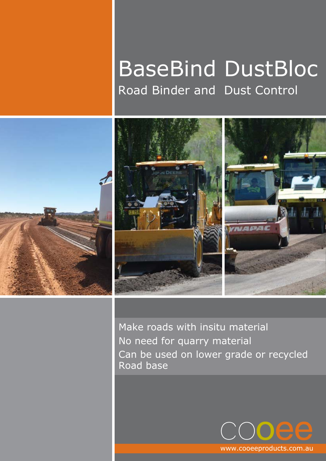# BaseBind DustBloc Road Binder and Dust Control



Make roads with insitu material No need for quarry material Can be used on lower grade or recycled Road base

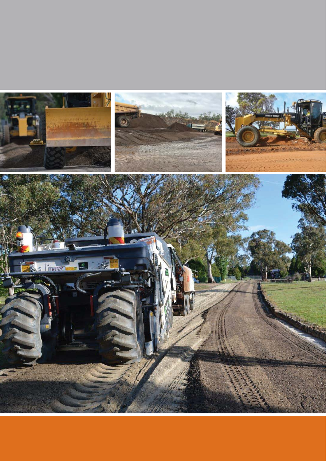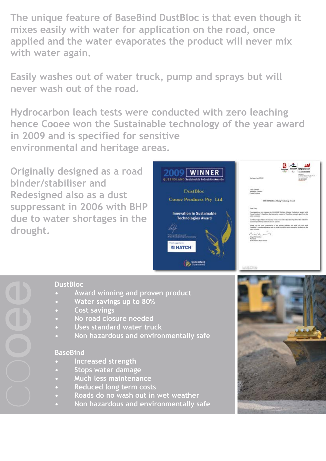**The unique feature of BaseBind DustBloc is that even though it mixes easily with water for application on the road, once applied and the water evaporates the product will never mix with water again.**

**Easily washes out of water truck, pump and sprays but will never wash out of the road.**

**Hydrocarbon leach tests were conducted with zero leaching hence Cooee won the Sustainable technology of the year award in 2009 and is specified for sensitive environmental and heritage areas.**

**Originally designed as a road binder/stabiliser and Redesigned also as a dust suppressant in 2006 with BHP due to water shortages in the drought.**



#### **DustBloc**

- **Award winning and proven product**
- **Water savings up to 80%**
- **Cost savings**
- **No road closure needed**
- **Uses standard water truck**
- **Non hazardous and environmentally safe**

### **BaseBind**

- **Increased strength**
- **Stops water damage**
- **Much less maintenance**
- **Reduced long term costs**
- **Roads do no wash out in wet weather**
- **Non hazardous and environmentally safe**